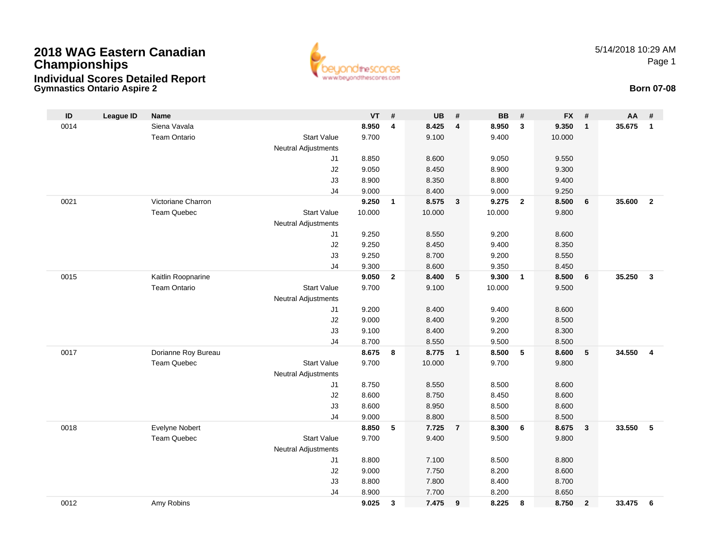## **2018 WAG Eastern CanadianChampionships Individual Scores Detailed Report**



5/14/2018 10:29 AMPage 1

## **Gymnastics Ontario Aspire 2 Born 07-08**

| ID   | <b>League ID</b> | <b>Name</b>         |                            | <b>VT</b> | #              | <b>UB</b> | #                       | <b>BB</b> | #                       | <b>FX</b> | #                       | AA     | #              |
|------|------------------|---------------------|----------------------------|-----------|----------------|-----------|-------------------------|-----------|-------------------------|-----------|-------------------------|--------|----------------|
| 0014 |                  | Siena Vavala        |                            | 8.950     | $\overline{4}$ | 8.425     | $\overline{\mathbf{4}}$ | 8.950     | $\mathbf{3}$            | 9.350     | $\overline{1}$          | 35.675 | $\mathbf{1}$   |
|      |                  |                     | <b>Start Value</b>         |           |                |           |                         |           |                         |           |                         |        |                |
|      |                  | <b>Team Ontario</b> |                            | 9.700     |                | 9.100     |                         | 9.400     |                         | 10.000    |                         |        |                |
|      |                  |                     | <b>Neutral Adjustments</b> |           |                |           |                         |           |                         |           |                         |        |                |
|      |                  |                     | J1                         | 8.850     |                | 8.600     |                         | 9.050     |                         | 9.550     |                         |        |                |
|      |                  |                     | J2                         | 9.050     |                | 8.450     |                         | 8.900     |                         | 9.300     |                         |        |                |
|      |                  |                     | J3                         | 8.900     |                | 8.350     |                         | 8.800     |                         | 9.400     |                         |        |                |
|      |                  |                     | J <sub>4</sub>             | 9.000     |                | 8.400     |                         | 9.000     |                         | 9.250     |                         |        |                |
| 0021 |                  | Victoriane Charron  |                            | 9.250     | $\mathbf{1}$   | 8.575     | $\mathbf{3}$            | 9.275     | $\overline{2}$          | 8.500     | $6\phantom{1}6$         | 35.600 | $\overline{2}$ |
|      |                  | <b>Team Quebec</b>  | <b>Start Value</b>         | 10.000    |                | 10.000    |                         | 10.000    |                         | 9.800     |                         |        |                |
|      |                  |                     | Neutral Adjustments        |           |                |           |                         |           |                         |           |                         |        |                |
|      |                  |                     | J1                         | 9.250     |                | 8.550     |                         | 9.200     |                         | 8.600     |                         |        |                |
|      |                  |                     | J2                         | 9.250     |                | 8.450     |                         | 9.400     |                         | 8.350     |                         |        |                |
|      |                  |                     | J3                         | 9.250     |                | 8.700     |                         | 9.200     |                         | 8.550     |                         |        |                |
|      |                  |                     | J <sub>4</sub>             | 9.300     |                | 8.600     |                         | 9.350     |                         | 8.450     |                         |        |                |
| 0015 |                  | Kaitlin Roopnarine  |                            | 9.050     | $\overline{2}$ | 8.400     | 5                       | 9.300     | $\overline{\mathbf{1}}$ | 8.500     | $6\phantom{1}6$         | 35.250 | $\mathbf{3}$   |
|      |                  | <b>Team Ontario</b> | <b>Start Value</b>         | 9.700     |                | 9.100     |                         | 10.000    |                         | 9.500     |                         |        |                |
|      |                  |                     | <b>Neutral Adjustments</b> |           |                |           |                         |           |                         |           |                         |        |                |
|      |                  |                     | J1                         | 9.200     |                | 8.400     |                         | 9.400     |                         | 8.600     |                         |        |                |
|      |                  |                     | J2                         | 9.000     |                | 8.400     |                         | 9.200     |                         | 8.500     |                         |        |                |
|      |                  |                     | J3                         | 9.100     |                | 8.400     |                         | 9.200     |                         | 8.300     |                         |        |                |
|      |                  |                     | J4                         | 8.700     |                | 8.550     |                         | 9.500     |                         | 8.500     |                         |        |                |
| 0017 |                  | Dorianne Roy Bureau |                            | 8.675     | 8              | 8.775     | $\overline{1}$          | 8.500     | 5                       | 8.600     | 5                       | 34.550 | $\overline{4}$ |
|      |                  | <b>Team Quebec</b>  | <b>Start Value</b>         | 9.700     |                | 10.000    |                         | 9.700     |                         | 9.800     |                         |        |                |
|      |                  |                     | <b>Neutral Adjustments</b> |           |                |           |                         |           |                         |           |                         |        |                |
|      |                  |                     | J1                         | 8.750     |                | 8.550     |                         | 8.500     |                         | 8.600     |                         |        |                |
|      |                  |                     |                            |           |                | 8.750     |                         |           |                         |           |                         |        |                |
|      |                  |                     | J2                         | 8.600     |                |           |                         | 8.450     |                         | 8.600     |                         |        |                |
|      |                  |                     | J3                         | 8.600     |                | 8.950     |                         | 8.500     |                         | 8.600     |                         |        |                |
|      |                  |                     | J <sub>4</sub>             | 9.000     |                | 8.800     |                         | 8.500     |                         | 8.500     |                         |        |                |
| 0018 |                  | Evelyne Nobert      |                            | 8.850     | 5              | 7.725     | $\overline{7}$          | 8.300     | 6                       | 8.675     | $\overline{\mathbf{3}}$ | 33.550 | -5             |
|      |                  | <b>Team Quebec</b>  | <b>Start Value</b>         | 9.700     |                | 9.400     |                         | 9.500     |                         | 9.800     |                         |        |                |
|      |                  |                     | <b>Neutral Adjustments</b> |           |                |           |                         |           |                         |           |                         |        |                |
|      |                  |                     | J1                         | 8.800     |                | 7.100     |                         | 8.500     |                         | 8.800     |                         |        |                |
|      |                  |                     | J2                         | 9.000     |                | 7.750     |                         | 8.200     |                         | 8.600     |                         |        |                |
|      |                  |                     | J3                         | 8.800     |                | 7.800     |                         | 8.400     |                         | 8.700     |                         |        |                |
|      |                  |                     | J <sub>4</sub>             | 8.900     |                | 7.700     |                         | 8.200     |                         | 8.650     |                         |        |                |
| 0012 |                  | Amy Robins          |                            | 9.025     | 3              | 7.475     | 9                       | 8.225     | 8                       | 8.750     | $\overline{2}$          | 33.475 | 6              |